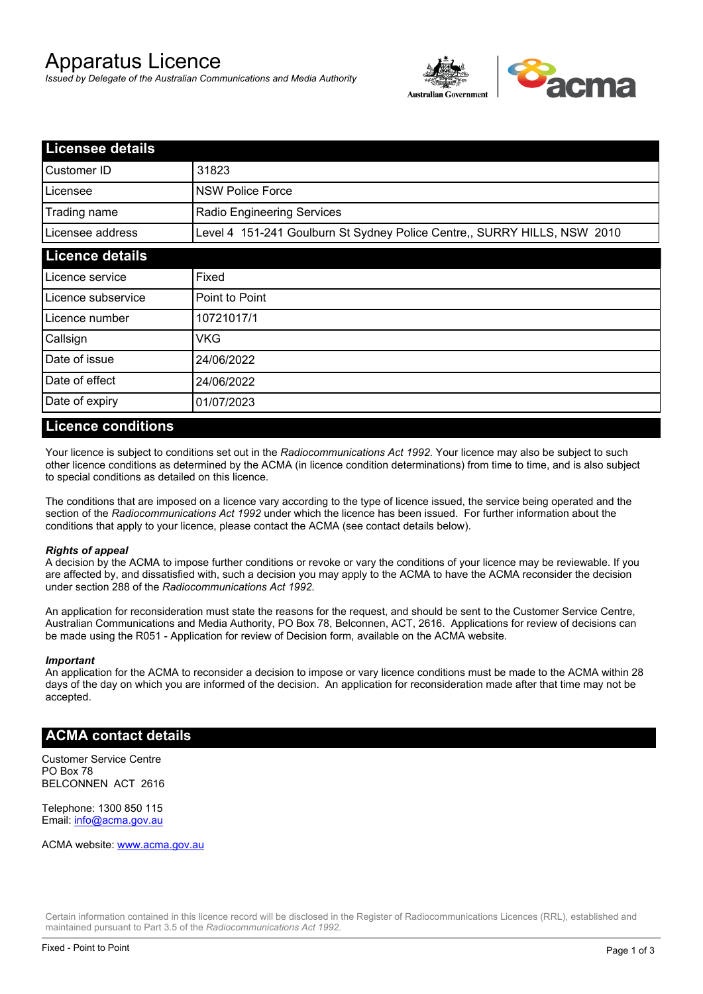# Apparatus Licence

*Issued by Delegate of the Australian Communications and Media Authority*



| <b>Licensee details</b> |                                                                          |  |
|-------------------------|--------------------------------------------------------------------------|--|
| Customer ID             | 31823                                                                    |  |
| Licensee                | <b>NSW Police Force</b>                                                  |  |
| Trading name            | Radio Engineering Services                                               |  |
| Licensee address        | Level 4 151-241 Goulburn St Sydney Police Centre,, SURRY HILLS, NSW 2010 |  |
| <b>Licence details</b>  |                                                                          |  |
| Licence service         | Fixed                                                                    |  |
| Licence subservice      | Point to Point                                                           |  |
| Licence number          | 10721017/1                                                               |  |
| Callsign                | VKG                                                                      |  |
| Date of issue           | 24/06/2022                                                               |  |
| Date of effect          | 24/06/2022                                                               |  |
| Date of expiry          | 01/07/2023                                                               |  |

#### **Licence conditions**

Your licence is subject to conditions set out in the *Radiocommunications Act 1992*. Your licence may also be subject to such other licence conditions as determined by the ACMA (in licence condition determinations) from time to time, and is also subject to special conditions as detailed on this licence.

The conditions that are imposed on a licence vary according to the type of licence issued, the service being operated and the section of the *Radiocommunications Act 1992* under which the licence has been issued. For further information about the conditions that apply to your licence, please contact the ACMA (see contact details below).

#### *Rights of appeal*

A decision by the ACMA to impose further conditions or revoke or vary the conditions of your licence may be reviewable. If you are affected by, and dissatisfied with, such a decision you may apply to the ACMA to have the ACMA reconsider the decision under section 288 of the *Radiocommunications Act 1992*.

An application for reconsideration must state the reasons for the request, and should be sent to the Customer Service Centre, Australian Communications and Media Authority, PO Box 78, Belconnen, ACT, 2616. Applications for review of decisions can be made using the R051 - Application for review of Decision form, available on the ACMA website.

#### *Important*

An application for the ACMA to reconsider a decision to impose or vary licence conditions must be made to the ACMA within 28 days of the day on which you are informed of the decision. An application for reconsideration made after that time may not be accepted.

#### **ACMA contact details**

Customer Service Centre PO Box 78 BELCONNEN ACT 2616

Telephone: 1300 850 115 Email: info@acma.gov.au

ACMA website: www.acma.gov.au

Certain information contained in this licence record will be disclosed in the Register of Radiocommunications Licences (RRL), established and maintained pursuant to Part 3.5 of the *Radiocommunications Act 1992.*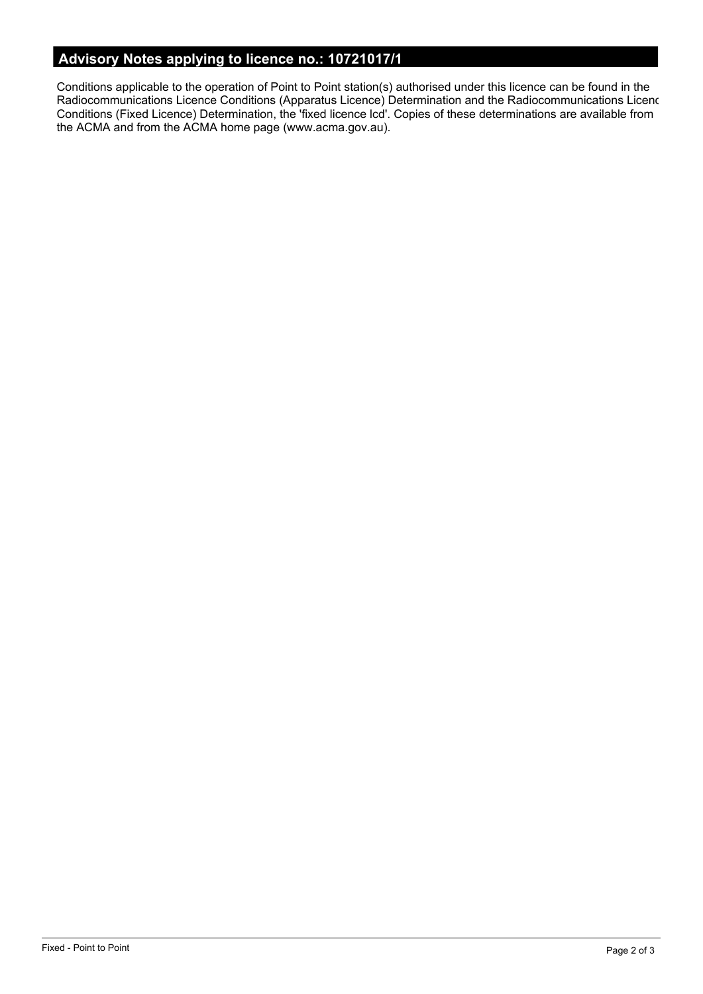# **Advisory Notes applying to licence no.: 10721017/1**

Conditions applicable to the operation of Point to Point station(s) authorised under this licence can be found in the Radiocommunications Licence Conditions (Apparatus Licence) Determination and the Radiocommunications Licence Conditions (Fixed Licence) Determination, the 'fixed licence lcd'. Copies of these determinations are available from the ACMA and from the ACMA home page (www.acma.gov.au).